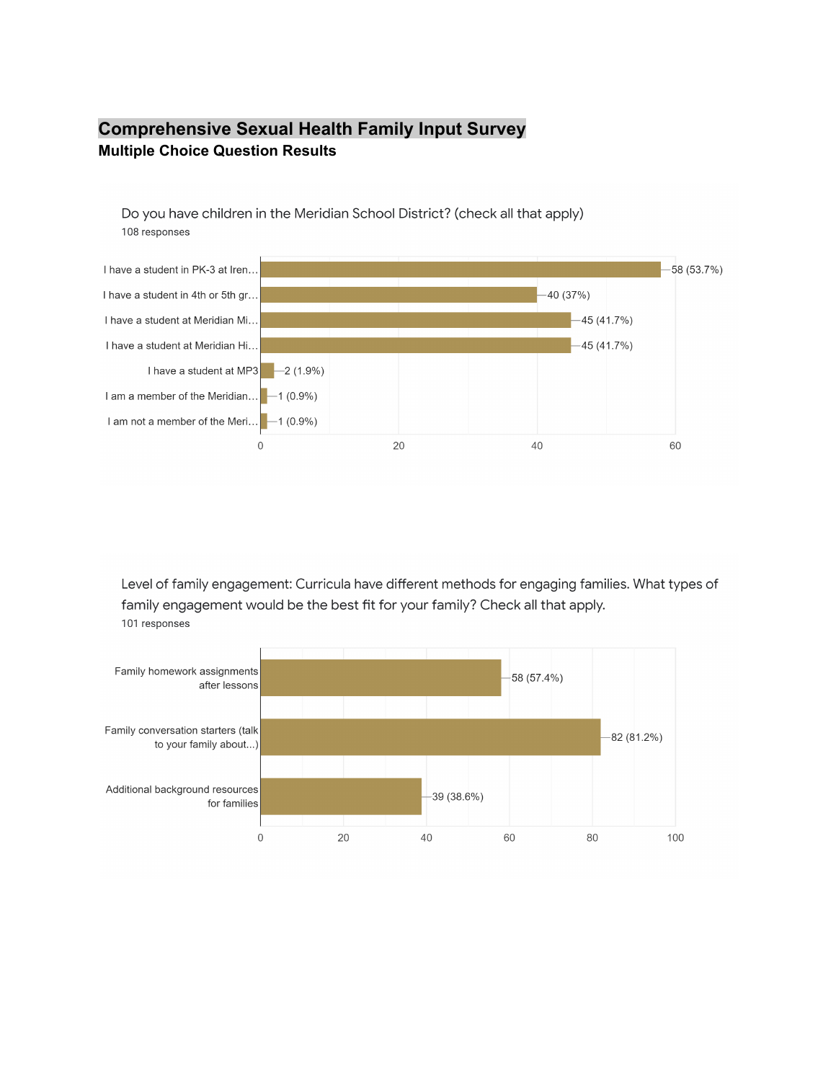## **Comprehensive Sexual Health Family Input Survey Multiple Choice Question Results**

Do you have children in the Meridian School District? (check all that apply) 108 responses



Level of family engagement: Curricula have different methods for engaging families. What types of family engagement would be the best fit for your family? Check all that apply. 101 responses

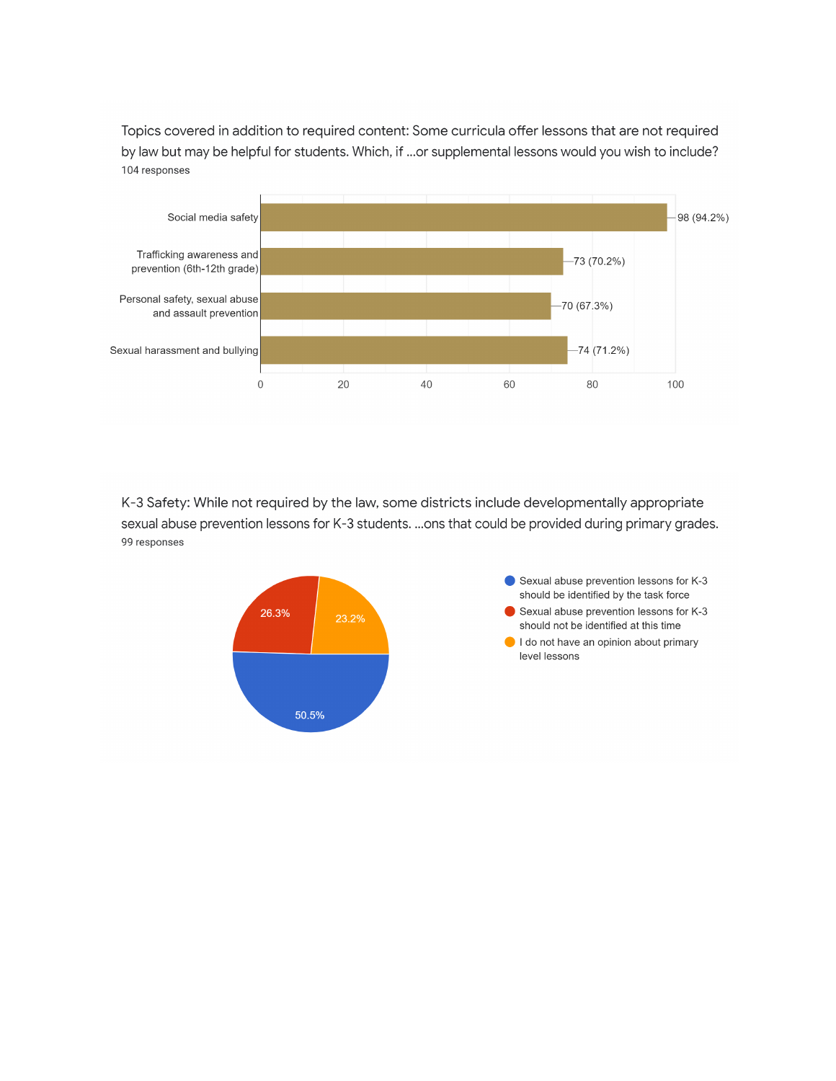Topics covered in addition to required content: Some curricula offer lessons that are not required by law but may be helpful for students. Which, if ...or supplemental lessons would you wish to include? 104 responses



K-3 Safety: While not required by the law, some districts include developmentally appropriate sexual abuse prevention lessons for K-3 students. ...ons that could be provided during primary grades. 99 responses

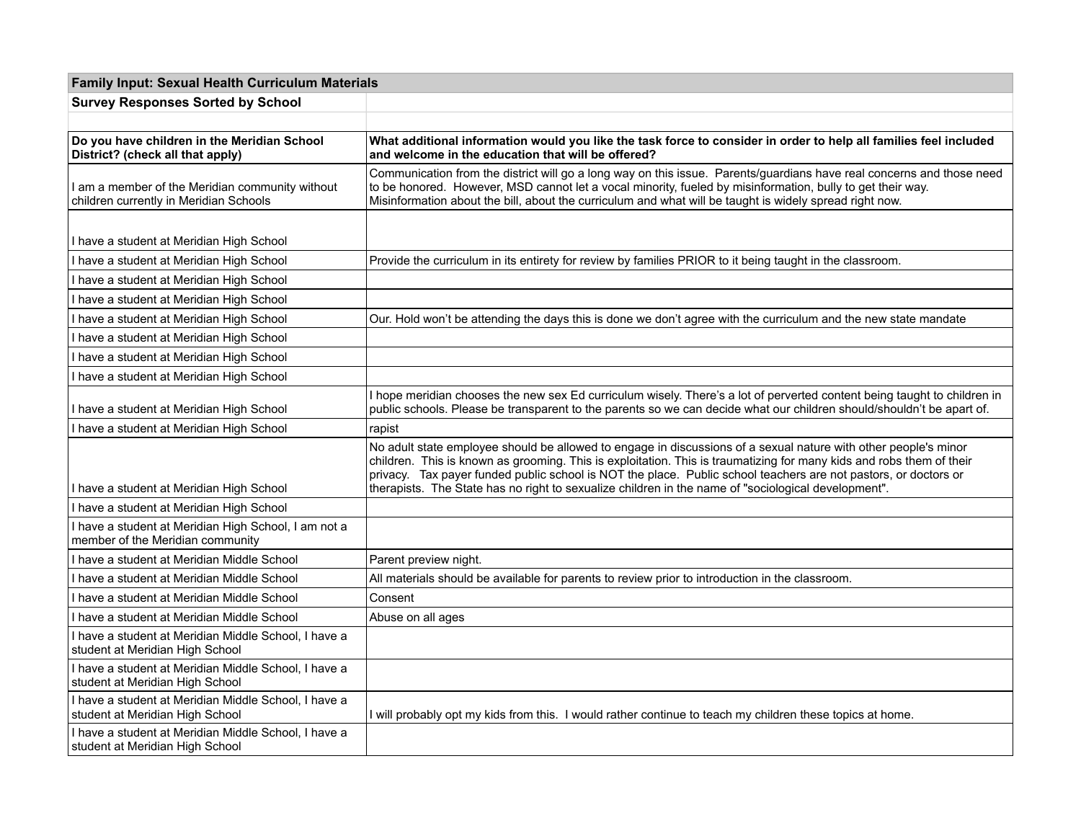| <b>Family Input: Sexual Health Curriculum Materials</b>                                   |                                                                                                                                                                                                                                                                                                                                                                                                                                                                   |
|-------------------------------------------------------------------------------------------|-------------------------------------------------------------------------------------------------------------------------------------------------------------------------------------------------------------------------------------------------------------------------------------------------------------------------------------------------------------------------------------------------------------------------------------------------------------------|
| <b>Survey Responses Sorted by School</b>                                                  |                                                                                                                                                                                                                                                                                                                                                                                                                                                                   |
|                                                                                           |                                                                                                                                                                                                                                                                                                                                                                                                                                                                   |
| Do you have children in the Meridian School<br>District? (check all that apply)           | What additional information would you like the task force to consider in order to help all families feel included<br>and welcome in the education that will be offered?                                                                                                                                                                                                                                                                                           |
| I am a member of the Meridian community without<br>children currently in Meridian Schools | Communication from the district will go a long way on this issue. Parents/guardians have real concerns and those need<br>to be honored. However, MSD cannot let a vocal minority, fueled by misinformation, bully to get their way.<br>Misinformation about the bill, about the curriculum and what will be taught is widely spread right now.                                                                                                                    |
| I have a student at Meridian High School                                                  |                                                                                                                                                                                                                                                                                                                                                                                                                                                                   |
| I have a student at Meridian High School                                                  | Provide the curriculum in its entirety for review by families PRIOR to it being taught in the classroom.                                                                                                                                                                                                                                                                                                                                                          |
| I have a student at Meridian High School                                                  |                                                                                                                                                                                                                                                                                                                                                                                                                                                                   |
| I have a student at Meridian High School                                                  |                                                                                                                                                                                                                                                                                                                                                                                                                                                                   |
| I have a student at Meridian High School                                                  | Our. Hold won't be attending the days this is done we don't agree with the curriculum and the new state mandate                                                                                                                                                                                                                                                                                                                                                   |
| I have a student at Meridian High School                                                  |                                                                                                                                                                                                                                                                                                                                                                                                                                                                   |
| I have a student at Meridian High School                                                  |                                                                                                                                                                                                                                                                                                                                                                                                                                                                   |
| I have a student at Meridian High School                                                  |                                                                                                                                                                                                                                                                                                                                                                                                                                                                   |
| I have a student at Meridian High School                                                  | I hope meridian chooses the new sex Ed curriculum wisely. There's a lot of perverted content being taught to children in<br>public schools. Please be transparent to the parents so we can decide what our children should/shouldn't be apart of.                                                                                                                                                                                                                 |
| I have a student at Meridian High School                                                  | rapist                                                                                                                                                                                                                                                                                                                                                                                                                                                            |
| I have a student at Meridian High School                                                  | No adult state employee should be allowed to engage in discussions of a sexual nature with other people's minor<br>children. This is known as grooming. This is exploitation. This is traumatizing for many kids and robs them of their<br>privacy. Tax payer funded public school is NOT the place. Public school teachers are not pastors, or doctors or<br>therapists. The State has no right to sexualize children in the name of "sociological development". |
| I have a student at Meridian High School                                                  |                                                                                                                                                                                                                                                                                                                                                                                                                                                                   |
| I have a student at Meridian High School, I am not a<br>member of the Meridian community  |                                                                                                                                                                                                                                                                                                                                                                                                                                                                   |
| I have a student at Meridian Middle School                                                | Parent preview night.                                                                                                                                                                                                                                                                                                                                                                                                                                             |
| I have a student at Meridian Middle School                                                | All materials should be available for parents to review prior to introduction in the classroom.                                                                                                                                                                                                                                                                                                                                                                   |
| I have a student at Meridian Middle School                                                | Consent                                                                                                                                                                                                                                                                                                                                                                                                                                                           |
| I have a student at Meridian Middle School                                                | Abuse on all ages                                                                                                                                                                                                                                                                                                                                                                                                                                                 |
| I have a student at Meridian Middle School, I have a<br>student at Meridian High School   |                                                                                                                                                                                                                                                                                                                                                                                                                                                                   |
| I have a student at Meridian Middle School, I have a<br>student at Meridian High School   |                                                                                                                                                                                                                                                                                                                                                                                                                                                                   |
| I have a student at Meridian Middle School, I have a<br>student at Meridian High School   | I will probably opt my kids from this. I would rather continue to teach my children these topics at home.                                                                                                                                                                                                                                                                                                                                                         |
| I have a student at Meridian Middle School, I have a<br>student at Meridian High School   |                                                                                                                                                                                                                                                                                                                                                                                                                                                                   |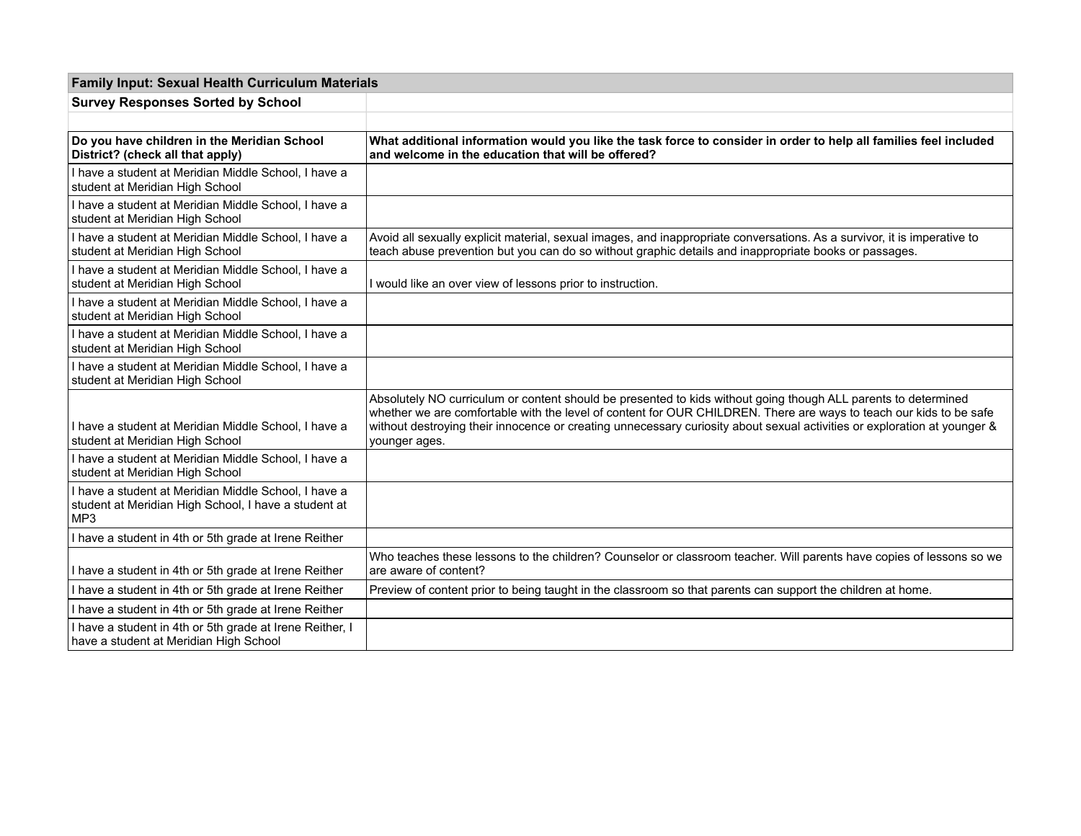| <b>Family Input: Sexual Health Curriculum Materials</b>                                                             |                                                                                                                                                                                                                                                                                                                                                                                   |
|---------------------------------------------------------------------------------------------------------------------|-----------------------------------------------------------------------------------------------------------------------------------------------------------------------------------------------------------------------------------------------------------------------------------------------------------------------------------------------------------------------------------|
| <b>Survey Responses Sorted by School</b>                                                                            |                                                                                                                                                                                                                                                                                                                                                                                   |
|                                                                                                                     |                                                                                                                                                                                                                                                                                                                                                                                   |
| Do you have children in the Meridian School<br>District? (check all that apply)                                     | What additional information would you like the task force to consider in order to help all families feel included<br>and welcome in the education that will be offered?                                                                                                                                                                                                           |
| I have a student at Meridian Middle School, I have a<br>student at Meridian High School                             |                                                                                                                                                                                                                                                                                                                                                                                   |
| I have a student at Meridian Middle School, I have a<br>student at Meridian High School                             |                                                                                                                                                                                                                                                                                                                                                                                   |
| I have a student at Meridian Middle School, I have a<br>student at Meridian High School                             | Avoid all sexually explicit material, sexual images, and inappropriate conversations. As a survivor, it is imperative to<br>teach abuse prevention but you can do so without graphic details and inappropriate books or passages.                                                                                                                                                 |
| I have a student at Meridian Middle School, I have a<br>student at Meridian High School                             | I would like an over view of lessons prior to instruction.                                                                                                                                                                                                                                                                                                                        |
| I have a student at Meridian Middle School, I have a<br>student at Meridian High School                             |                                                                                                                                                                                                                                                                                                                                                                                   |
| I have a student at Meridian Middle School. I have a<br>student at Meridian High School                             |                                                                                                                                                                                                                                                                                                                                                                                   |
| I have a student at Meridian Middle School, I have a<br>student at Meridian High School                             |                                                                                                                                                                                                                                                                                                                                                                                   |
| I have a student at Meridian Middle School, I have a<br>student at Meridian High School                             | Absolutely NO curriculum or content should be presented to kids without going though ALL parents to determined<br>whether we are comfortable with the level of content for OUR CHILDREN. There are ways to teach our kids to be safe<br>without destroying their innocence or creating unnecessary curiosity about sexual activities or exploration at younger &<br>younger ages. |
| I have a student at Meridian Middle School, I have a<br>student at Meridian High School                             |                                                                                                                                                                                                                                                                                                                                                                                   |
| I have a student at Meridian Middle School, I have a<br>student at Meridian High School, I have a student at<br>MP3 |                                                                                                                                                                                                                                                                                                                                                                                   |
| I have a student in 4th or 5th grade at Irene Reither                                                               |                                                                                                                                                                                                                                                                                                                                                                                   |
| I have a student in 4th or 5th grade at Irene Reither                                                               | Who teaches these lessons to the children? Counselor or classroom teacher. Will parents have copies of lessons so we<br>are aware of content?                                                                                                                                                                                                                                     |
| I have a student in 4th or 5th grade at Irene Reither                                                               | Preview of content prior to being taught in the classroom so that parents can support the children at home.                                                                                                                                                                                                                                                                       |
| I have a student in 4th or 5th grade at Irene Reither                                                               |                                                                                                                                                                                                                                                                                                                                                                                   |
| I have a student in 4th or 5th grade at Irene Reither, I<br>have a student at Meridian High School                  |                                                                                                                                                                                                                                                                                                                                                                                   |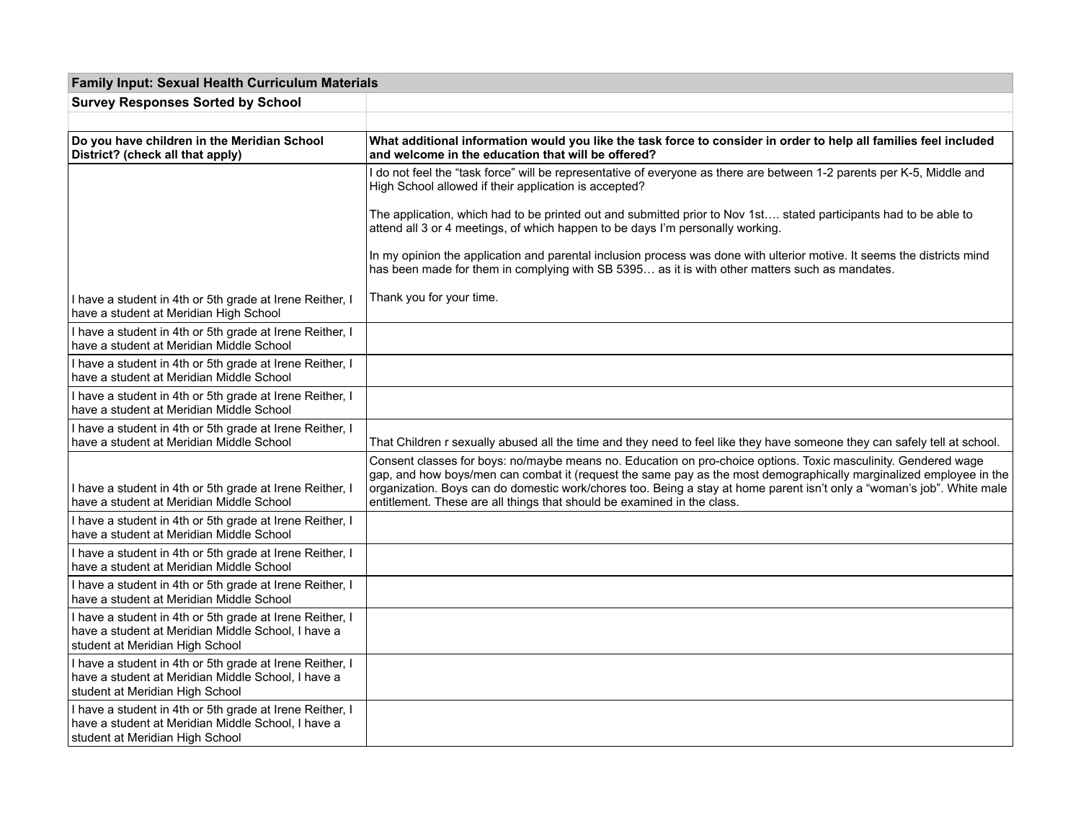| <b>Family Input: Sexual Health Curriculum Materials</b>                                                                                           |                                                                                                                                                                                                                                                                                                                                                                                                                                           |
|---------------------------------------------------------------------------------------------------------------------------------------------------|-------------------------------------------------------------------------------------------------------------------------------------------------------------------------------------------------------------------------------------------------------------------------------------------------------------------------------------------------------------------------------------------------------------------------------------------|
| <b>Survey Responses Sorted by School</b>                                                                                                          |                                                                                                                                                                                                                                                                                                                                                                                                                                           |
|                                                                                                                                                   |                                                                                                                                                                                                                                                                                                                                                                                                                                           |
| Do you have children in the Meridian School<br>District? (check all that apply)                                                                   | What additional information would you like the task force to consider in order to help all families feel included<br>and welcome in the education that will be offered?                                                                                                                                                                                                                                                                   |
|                                                                                                                                                   | I do not feel the "task force" will be representative of everyone as there are between 1-2 parents per K-5, Middle and<br>High School allowed if their application is accepted?                                                                                                                                                                                                                                                           |
|                                                                                                                                                   | The application, which had to be printed out and submitted prior to Nov 1st stated participants had to be able to<br>attend all 3 or 4 meetings, of which happen to be days I'm personally working.                                                                                                                                                                                                                                       |
|                                                                                                                                                   | In my opinion the application and parental inclusion process was done with ulterior motive. It seems the districts mind<br>has been made for them in complying with SB 5395 as it is with other matters such as mandates.                                                                                                                                                                                                                 |
| I have a student in 4th or 5th grade at Irene Reither, I<br>have a student at Meridian High School                                                | Thank you for your time.                                                                                                                                                                                                                                                                                                                                                                                                                  |
| I have a student in 4th or 5th grade at Irene Reither, I<br>have a student at Meridian Middle School                                              |                                                                                                                                                                                                                                                                                                                                                                                                                                           |
| I have a student in 4th or 5th grade at Irene Reither, I<br>have a student at Meridian Middle School                                              |                                                                                                                                                                                                                                                                                                                                                                                                                                           |
| I have a student in 4th or 5th grade at Irene Reither, I<br>have a student at Meridian Middle School                                              |                                                                                                                                                                                                                                                                                                                                                                                                                                           |
| I have a student in 4th or 5th grade at Irene Reither, I<br>have a student at Meridian Middle School                                              | That Children r sexually abused all the time and they need to feel like they have someone they can safely tell at school.                                                                                                                                                                                                                                                                                                                 |
| I have a student in 4th or 5th grade at Irene Reither, I<br>have a student at Meridian Middle School                                              | Consent classes for boys: no/maybe means no. Education on pro-choice options. Toxic masculinity. Gendered wage<br>gap, and how boys/men can combat it (request the same pay as the most demographically marginalized employee in the<br>organization. Boys can do domestic work/chores too. Being a stay at home parent isn't only a "woman's job". White male<br>entitlement. These are all things that should be examined in the class. |
| I have a student in 4th or 5th grade at Irene Reither, I<br>have a student at Meridian Middle School                                              |                                                                                                                                                                                                                                                                                                                                                                                                                                           |
| I have a student in 4th or 5th grade at Irene Reither, I<br>have a student at Meridian Middle School                                              |                                                                                                                                                                                                                                                                                                                                                                                                                                           |
| I have a student in 4th or 5th grade at Irene Reither, I<br>have a student at Meridian Middle School                                              |                                                                                                                                                                                                                                                                                                                                                                                                                                           |
| I have a student in 4th or 5th grade at Irene Reither, I<br>have a student at Meridian Middle School. I have a<br>student at Meridian High School |                                                                                                                                                                                                                                                                                                                                                                                                                                           |
| I have a student in 4th or 5th grade at Irene Reither, I<br>have a student at Meridian Middle School, I have a<br>student at Meridian High School |                                                                                                                                                                                                                                                                                                                                                                                                                                           |
| I have a student in 4th or 5th grade at Irene Reither, I<br>have a student at Meridian Middle School, I have a<br>student at Meridian High School |                                                                                                                                                                                                                                                                                                                                                                                                                                           |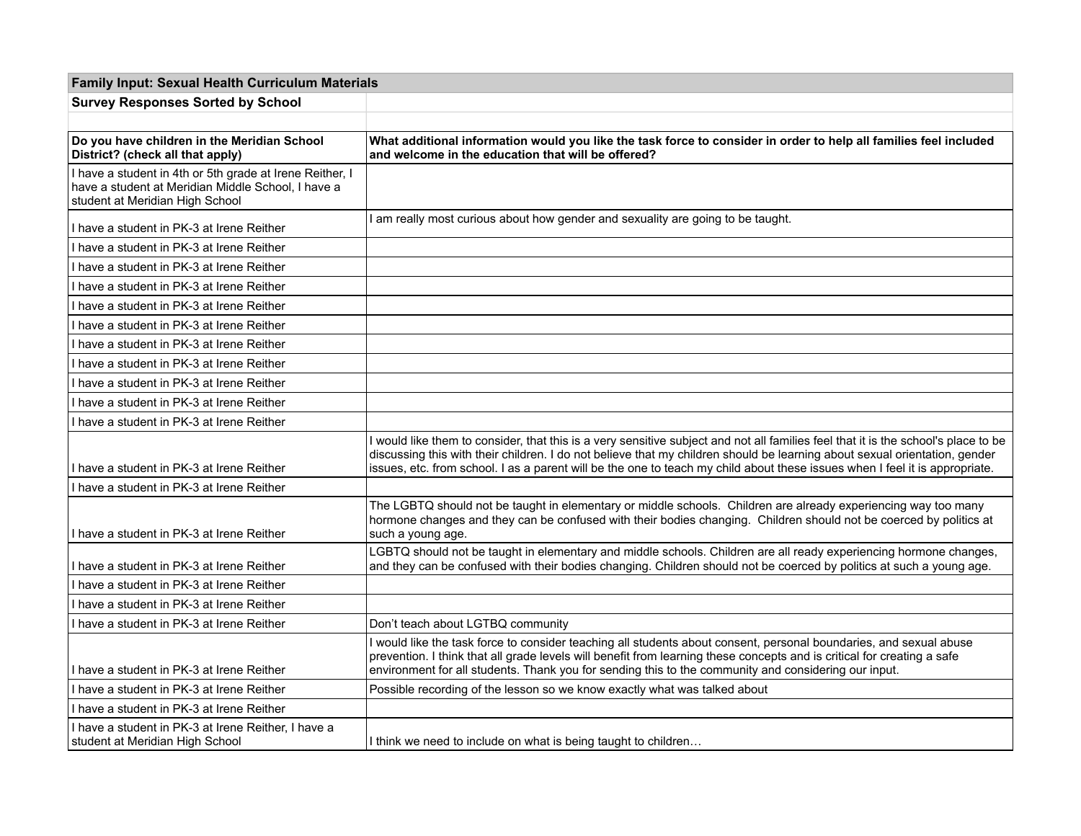| <b>Family Input: Sexual Health Curriculum Materials</b>                                                                                           |                                                                                                                                                                                                                                                                                                                                                                                                 |
|---------------------------------------------------------------------------------------------------------------------------------------------------|-------------------------------------------------------------------------------------------------------------------------------------------------------------------------------------------------------------------------------------------------------------------------------------------------------------------------------------------------------------------------------------------------|
| <b>Survey Responses Sorted by School</b>                                                                                                          |                                                                                                                                                                                                                                                                                                                                                                                                 |
|                                                                                                                                                   |                                                                                                                                                                                                                                                                                                                                                                                                 |
| Do you have children in the Meridian School<br>District? (check all that apply)                                                                   | What additional information would you like the task force to consider in order to help all families feel included<br>and welcome in the education that will be offered?                                                                                                                                                                                                                         |
| I have a student in 4th or 5th grade at Irene Reither, I<br>have a student at Meridian Middle School, I have a<br>student at Meridian High School |                                                                                                                                                                                                                                                                                                                                                                                                 |
| I have a student in PK-3 at Irene Reither                                                                                                         | am really most curious about how gender and sexuality are going to be taught.                                                                                                                                                                                                                                                                                                                   |
| I have a student in PK-3 at Irene Reither                                                                                                         |                                                                                                                                                                                                                                                                                                                                                                                                 |
| I have a student in PK-3 at Irene Reither                                                                                                         |                                                                                                                                                                                                                                                                                                                                                                                                 |
| I have a student in PK-3 at Irene Reither                                                                                                         |                                                                                                                                                                                                                                                                                                                                                                                                 |
| I have a student in PK-3 at Irene Reither                                                                                                         |                                                                                                                                                                                                                                                                                                                                                                                                 |
| I have a student in PK-3 at Irene Reither                                                                                                         |                                                                                                                                                                                                                                                                                                                                                                                                 |
| I have a student in PK-3 at Irene Reither                                                                                                         |                                                                                                                                                                                                                                                                                                                                                                                                 |
| I have a student in PK-3 at Irene Reither                                                                                                         |                                                                                                                                                                                                                                                                                                                                                                                                 |
| I have a student in PK-3 at Irene Reither                                                                                                         |                                                                                                                                                                                                                                                                                                                                                                                                 |
| I have a student in PK-3 at Irene Reither                                                                                                         |                                                                                                                                                                                                                                                                                                                                                                                                 |
| I have a student in PK-3 at Irene Reither                                                                                                         |                                                                                                                                                                                                                                                                                                                                                                                                 |
| I have a student in PK-3 at Irene Reither                                                                                                         | I would like them to consider, that this is a very sensitive subject and not all families feel that it is the school's place to be<br>discussing this with their children. I do not believe that my children should be learning about sexual orientation, gender<br>issues, etc. from school. I as a parent will be the one to teach my child about these issues when I feel it is appropriate. |
| I have a student in PK-3 at Irene Reither                                                                                                         |                                                                                                                                                                                                                                                                                                                                                                                                 |
| I have a student in PK-3 at Irene Reither                                                                                                         | The LGBTQ should not be taught in elementary or middle schools. Children are already experiencing way too many<br>hormone changes and they can be confused with their bodies changing. Children should not be coerced by politics at<br>such a young age.                                                                                                                                       |
| I have a student in PK-3 at Irene Reither                                                                                                         | LGBTQ should not be taught in elementary and middle schools. Children are all ready experiencing hormone changes,<br>and they can be confused with their bodies changing. Children should not be coerced by politics at such a young age.                                                                                                                                                       |
| I have a student in PK-3 at Irene Reither                                                                                                         |                                                                                                                                                                                                                                                                                                                                                                                                 |
| I have a student in PK-3 at Irene Reither                                                                                                         |                                                                                                                                                                                                                                                                                                                                                                                                 |
| I have a student in PK-3 at Irene Reither                                                                                                         | Don't teach about LGTBQ community                                                                                                                                                                                                                                                                                                                                                               |
| I have a student in PK-3 at Irene Reither                                                                                                         | I would like the task force to consider teaching all students about consent, personal boundaries, and sexual abuse<br>prevention. I think that all grade levels will benefit from learning these concepts and is critical for creating a safe<br>environment for all students. Thank you for sending this to the community and considering our input.                                           |
| I have a student in PK-3 at Irene Reither                                                                                                         | Possible recording of the lesson so we know exactly what was talked about                                                                                                                                                                                                                                                                                                                       |
| I have a student in PK-3 at Irene Reither                                                                                                         |                                                                                                                                                                                                                                                                                                                                                                                                 |
| I have a student in PK-3 at Irene Reither, I have a<br>student at Meridian High School                                                            | I think we need to include on what is being taught to children                                                                                                                                                                                                                                                                                                                                  |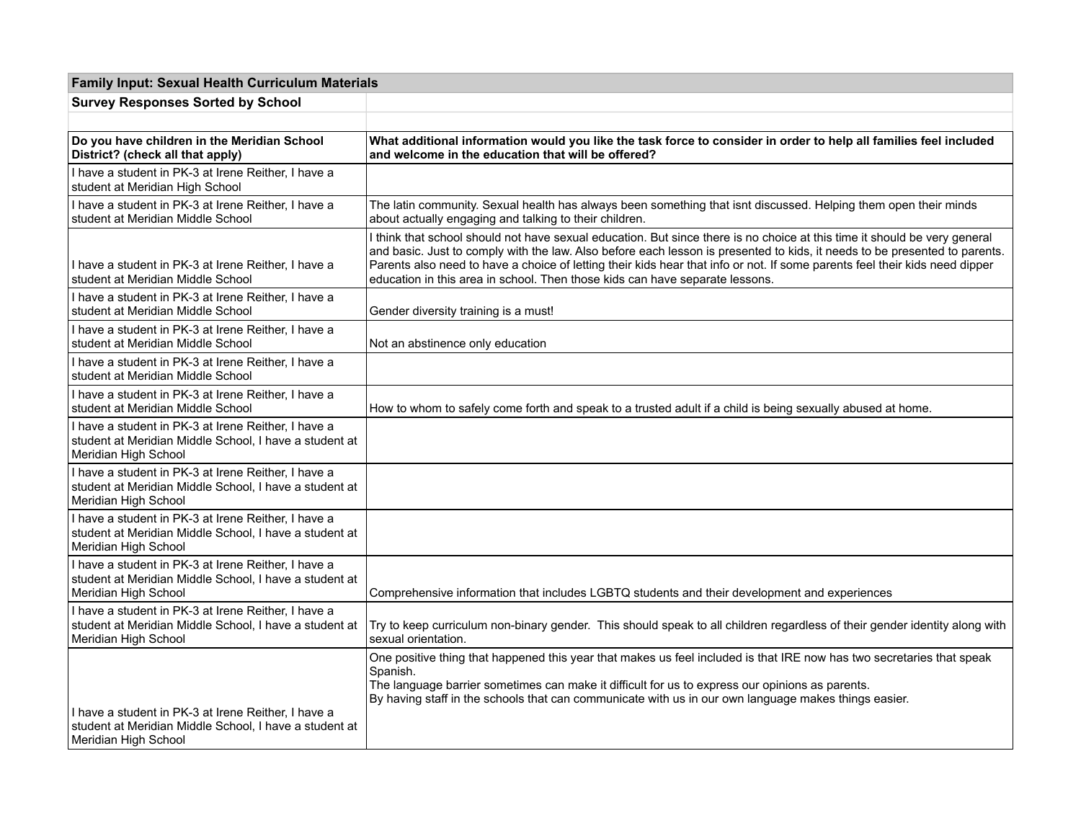| <b>Family Input: Sexual Health Curriculum Materials</b>                                                                               |                                                                                                                                                                                                                                                                                                                                                                                                                                                                        |  |
|---------------------------------------------------------------------------------------------------------------------------------------|------------------------------------------------------------------------------------------------------------------------------------------------------------------------------------------------------------------------------------------------------------------------------------------------------------------------------------------------------------------------------------------------------------------------------------------------------------------------|--|
| <b>Survey Responses Sorted by School</b>                                                                                              |                                                                                                                                                                                                                                                                                                                                                                                                                                                                        |  |
|                                                                                                                                       |                                                                                                                                                                                                                                                                                                                                                                                                                                                                        |  |
| Do you have children in the Meridian School<br>District? (check all that apply)                                                       | What additional information would you like the task force to consider in order to help all families feel included<br>and welcome in the education that will be offered?                                                                                                                                                                                                                                                                                                |  |
| I have a student in PK-3 at Irene Reither, I have a<br>student at Meridian High School                                                |                                                                                                                                                                                                                                                                                                                                                                                                                                                                        |  |
| I have a student in PK-3 at Irene Reither, I have a<br>student at Meridian Middle School                                              | The latin community. Sexual health has always been something that isnt discussed. Helping them open their minds<br>about actually engaging and talking to their children.                                                                                                                                                                                                                                                                                              |  |
| I have a student in PK-3 at Irene Reither, I have a<br>student at Meridian Middle School                                              | I think that school should not have sexual education. But since there is no choice at this time it should be very general<br>and basic. Just to comply with the law. Also before each lesson is presented to kids, it needs to be presented to parents.<br>Parents also need to have a choice of letting their kids hear that info or not. If some parents feel their kids need dipper<br>education in this area in school. Then those kids can have separate lessons. |  |
| I have a student in PK-3 at Irene Reither, I have a<br>student at Meridian Middle School                                              | Gender diversity training is a must!                                                                                                                                                                                                                                                                                                                                                                                                                                   |  |
| I have a student in PK-3 at Irene Reither, I have a<br>student at Meridian Middle School                                              | Not an abstinence only education                                                                                                                                                                                                                                                                                                                                                                                                                                       |  |
| I have a student in PK-3 at Irene Reither, I have a<br>student at Meridian Middle School                                              |                                                                                                                                                                                                                                                                                                                                                                                                                                                                        |  |
| I have a student in PK-3 at Irene Reither, I have a<br>student at Meridian Middle School                                              | How to whom to safely come forth and speak to a trusted adult if a child is being sexually abused at home.                                                                                                                                                                                                                                                                                                                                                             |  |
| I have a student in PK-3 at Irene Reither, I have a<br>student at Meridian Middle School, I have a student at<br>Meridian High School |                                                                                                                                                                                                                                                                                                                                                                                                                                                                        |  |
| I have a student in PK-3 at Irene Reither, I have a<br>student at Meridian Middle School, I have a student at<br>Meridian High School |                                                                                                                                                                                                                                                                                                                                                                                                                                                                        |  |
| I have a student in PK-3 at Irene Reither, I have a<br>student at Meridian Middle School, I have a student at<br>Meridian High School |                                                                                                                                                                                                                                                                                                                                                                                                                                                                        |  |
| I have a student in PK-3 at Irene Reither, I have a<br>student at Meridian Middle School, I have a student at<br>Meridian High School | Comprehensive information that includes LGBTQ students and their development and experiences                                                                                                                                                                                                                                                                                                                                                                           |  |
| I have a student in PK-3 at Irene Reither. I have a<br>student at Meridian Middle School, I have a student at<br>Meridian High School | Try to keep curriculum non-binary gender. This should speak to all children regardless of their gender identity along with<br>sexual orientation.                                                                                                                                                                                                                                                                                                                      |  |
| I have a student in PK-3 at Irene Reither, I have a<br>student at Meridian Middle School, I have a student at<br>Meridian High School | One positive thing that happened this year that makes us feel included is that IRE now has two secretaries that speak<br>Spanish.<br>The language barrier sometimes can make it difficult for us to express our opinions as parents.<br>By having staff in the schools that can communicate with us in our own language makes things easier.                                                                                                                           |  |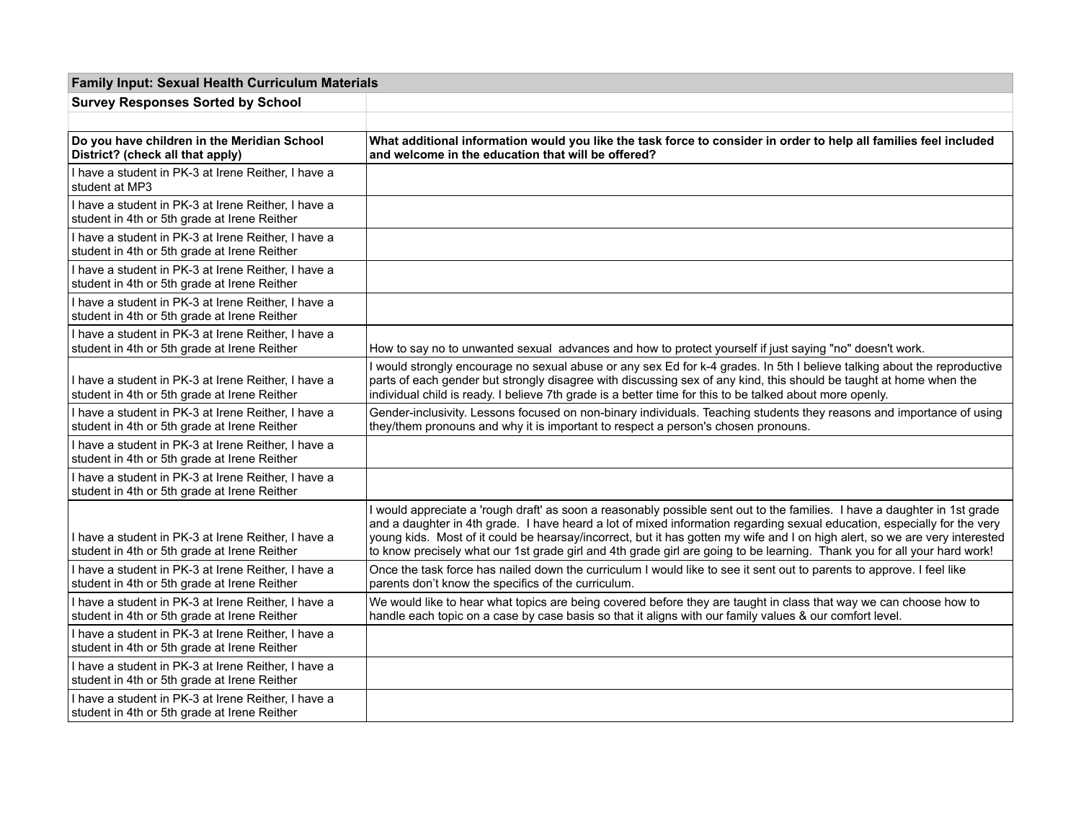| <b>Family Input: Sexual Health Curriculum Materials</b>                                             |                                                                                                                                                                                                                                                                                                                                                                                                                                                                                                                  |
|-----------------------------------------------------------------------------------------------------|------------------------------------------------------------------------------------------------------------------------------------------------------------------------------------------------------------------------------------------------------------------------------------------------------------------------------------------------------------------------------------------------------------------------------------------------------------------------------------------------------------------|
| <b>Survey Responses Sorted by School</b>                                                            |                                                                                                                                                                                                                                                                                                                                                                                                                                                                                                                  |
|                                                                                                     |                                                                                                                                                                                                                                                                                                                                                                                                                                                                                                                  |
| Do you have children in the Meridian School<br>District? (check all that apply)                     | What additional information would you like the task force to consider in order to help all families feel included<br>and welcome in the education that will be offered?                                                                                                                                                                                                                                                                                                                                          |
| I have a student in PK-3 at Irene Reither, I have a<br>student at MP3                               |                                                                                                                                                                                                                                                                                                                                                                                                                                                                                                                  |
| I have a student in PK-3 at Irene Reither, I have a<br>student in 4th or 5th grade at Irene Reither |                                                                                                                                                                                                                                                                                                                                                                                                                                                                                                                  |
| I have a student in PK-3 at Irene Reither, I have a<br>student in 4th or 5th grade at Irene Reither |                                                                                                                                                                                                                                                                                                                                                                                                                                                                                                                  |
| I have a student in PK-3 at Irene Reither, I have a<br>student in 4th or 5th grade at Irene Reither |                                                                                                                                                                                                                                                                                                                                                                                                                                                                                                                  |
| I have a student in PK-3 at Irene Reither, I have a<br>student in 4th or 5th grade at Irene Reither |                                                                                                                                                                                                                                                                                                                                                                                                                                                                                                                  |
| I have a student in PK-3 at Irene Reither, I have a<br>student in 4th or 5th grade at Irene Reither | How to say no to unwanted sexual advances and how to protect yourself if just saying "no" doesn't work.                                                                                                                                                                                                                                                                                                                                                                                                          |
| I have a student in PK-3 at Irene Reither, I have a<br>student in 4th or 5th grade at Irene Reither | I would strongly encourage no sexual abuse or any sex Ed for k-4 grades. In 5th I believe talking about the reproductive<br>parts of each gender but strongly disagree with discussing sex of any kind, this should be taught at home when the<br>individual child is ready. I believe 7th grade is a better time for this to be talked about more openly.                                                                                                                                                       |
| I have a student in PK-3 at Irene Reither, I have a<br>student in 4th or 5th grade at Irene Reither | Gender-inclusivity. Lessons focused on non-binary individuals. Teaching students they reasons and importance of using<br>they/them pronouns and why it is important to respect a person's chosen pronouns.                                                                                                                                                                                                                                                                                                       |
| I have a student in PK-3 at Irene Reither, I have a<br>student in 4th or 5th grade at Irene Reither |                                                                                                                                                                                                                                                                                                                                                                                                                                                                                                                  |
| I have a student in PK-3 at Irene Reither, I have a<br>student in 4th or 5th grade at Irene Reither |                                                                                                                                                                                                                                                                                                                                                                                                                                                                                                                  |
| I have a student in PK-3 at Irene Reither, I have a<br>student in 4th or 5th grade at Irene Reither | I would appreciate a 'rough draft' as soon a reasonably possible sent out to the families. I have a daughter in 1st grade<br>and a daughter in 4th grade. I have heard a lot of mixed information regarding sexual education, especially for the very<br>young kids. Most of it could be hearsay/incorrect, but it has gotten my wife and I on high alert, so we are very interested<br>to know precisely what our 1st grade girl and 4th grade girl are going to be learning. Thank you for all your hard work! |
| I have a student in PK-3 at Irene Reither, I have a<br>student in 4th or 5th grade at Irene Reither | Once the task force has nailed down the curriculum I would like to see it sent out to parents to approve. I feel like<br>parents don't know the specifics of the curriculum.                                                                                                                                                                                                                                                                                                                                     |
| I have a student in PK-3 at Irene Reither, I have a<br>student in 4th or 5th grade at Irene Reither | We would like to hear what topics are being covered before they are taught in class that way we can choose how to<br>handle each topic on a case by case basis so that it aligns with our family values & our comfort level.                                                                                                                                                                                                                                                                                     |
| I have a student in PK-3 at Irene Reither, I have a<br>student in 4th or 5th grade at Irene Reither |                                                                                                                                                                                                                                                                                                                                                                                                                                                                                                                  |
| I have a student in PK-3 at Irene Reither, I have a<br>student in 4th or 5th grade at Irene Reither |                                                                                                                                                                                                                                                                                                                                                                                                                                                                                                                  |
| I have a student in PK-3 at Irene Reither, I have a<br>student in 4th or 5th grade at Irene Reither |                                                                                                                                                                                                                                                                                                                                                                                                                                                                                                                  |